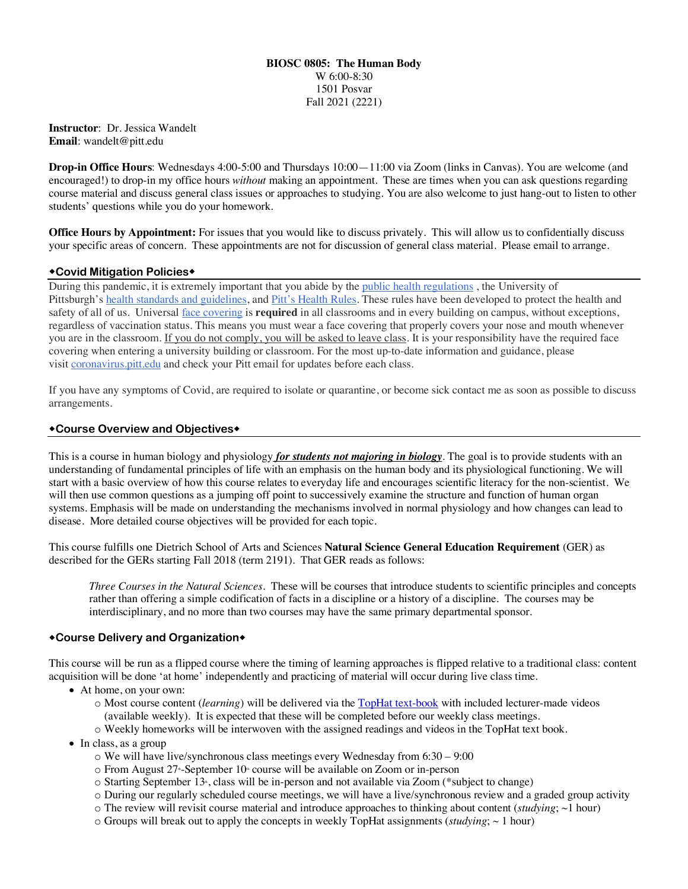#### **BIOSC 0805: The Human Body** W 6:00-8:30 1501 Posvar Fall 2021 (2221)

**Instructor**:Dr. Jessica Wandelt **Email**: wandelt@pitt.edu

**Drop-in Office Hours**: Wednesdays 4:00-5:00 and Thursdays 10:00—11:00 via Zoom (links in Canvas). You are welcome (and encouraged!) to drop-in my office hours *without* making an appointment. These are times when you can ask questions regarding course material and discuss general class issues or approaches to studying. You are also welcome to just hang-out to listen to other students' questions while you do your homework.

**Office Hours by Appointment:** For issues that you would like to discuss privately. This will allow us to confidentially discuss your specific areas of concern. These appointments are not for discussion of general class material. Please email to arrange.

### \*Covid Mitigation Policies\*

During this pandemic, it is extremely important that you abide by the public health regulations , the University of Pittsburgh's health standards and guidelines, and Pitt's Health Rules. These rules have been developed to protect the health and safety of all of us. Universal face covering is **required** in all classrooms and in every building on campus, without exceptions, regardless of vaccination status. This means you must wear a face covering that properly covers your nose and mouth whenever you are in the classroom. If you do not comply, you will be asked to leave class. It is your responsibility have the required face covering when entering a university building or classroom. For the most up-to-date information and guidance, please visit coronavirus.pitt.edu and check your Pitt email for updates before each class.

If you have any symptoms of Covid, are required to isolate or quarantine, or become sick contact me as soon as possible to discuss arrangements.

### **\*Course Overview and Objectives\***

This is a course in human biology and physiology *for students not majoring in biology.* The goal is to provide students with an understanding of fundamental principles of life with an emphasis on the human body and its physiological functioning. We will start with a basic overview of how this course relates to everyday life and encourages scientific literacy for the non-scientist. We will then use common questions as a jumping off point to successively examine the structure and function of human organ systems. Emphasis will be made on understanding the mechanisms involved in normal physiology and how changes can lead to disease. More detailed course objectives will be provided for each topic.

This course fulfills one Dietrich School of Arts and Sciences **Natural Science General Education Requirement** (GER) as described for the GERs starting Fall 2018 (term 2191). That GER reads as follows:

*Three Courses in the Natural Sciences*. These will be courses that introduce students to scientific principles and concepts rather than offering a simple codification of facts in a discipline or a history of a discipline. The courses may be interdisciplinary, and no more than two courses may have the same primary departmental sponsor.

#### \*Course Delivery and Organization\*

This course will be run as a flipped course where the timing of learning approaches is flipped relative to a traditional class: content acquisition will be done 'at home' independently and practicing of material will occur during live class time.

- At home, on your own:
	- o Most course content (*learning*) will be delivered via the TopHat text-book with included lecturer-made videos (available weekly). It is expected that these will be completed before our weekly class meetings.
	- o Weekly homeworks will be interwoven with the assigned readings and videos in the TopHat text book.
- In class, as a group
	- o We will have live/synchronous class meetings every Wednesday from 6:30 9:00
	- $\circ$  From August 27<sup>th</sup>-September 10<sup>th</sup> course will be available on Zoom or in-person
	- o Starting September 13<sup>\*</sup>, class will be in-person and not available via Zoom (\*subject to change)
	- o During our regularly scheduled course meetings, we will have a live/synchronous review and a graded group activity
	- o The review will revisit course material and introduce approaches to thinking about content (*studying*; ~1 hour)
	- $\circ$  Groups will break out to apply the concepts in weekly TopHat assignments (*studying*;  $\sim$  1 hour)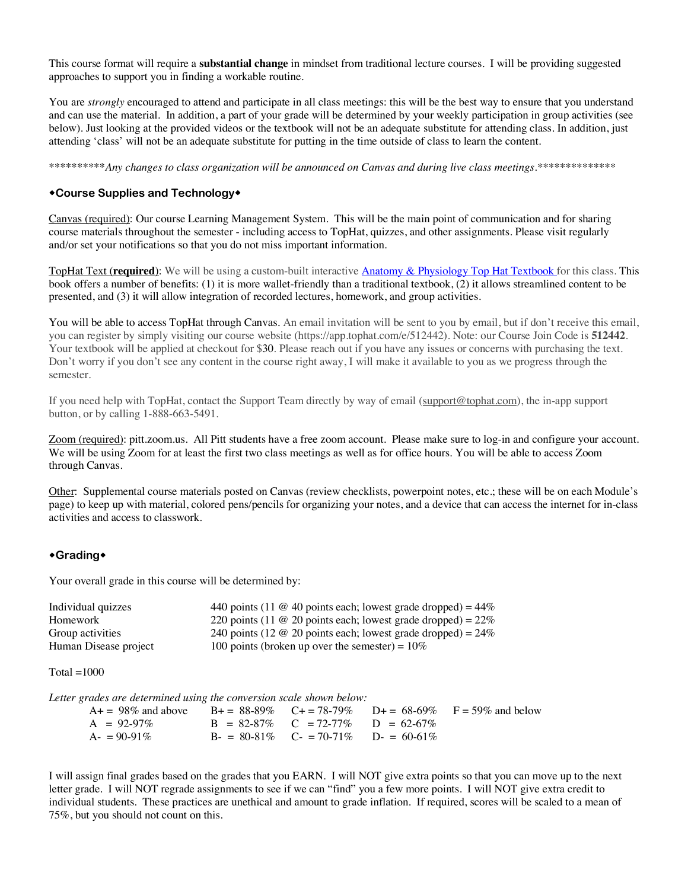This course format will require a **substantial change** in mindset from traditional lecture courses. I will be providing suggested approaches to support you in finding a workable routine.

You are *strongly* encouraged to attend and participate in all class meetings: this will be the best way to ensure that you understand and can use the material. In addition, a part of your grade will be determined by your weekly participation in group activities (see below). Just looking at the provided videos or the textbook will not be an adequate substitute for attending class. In addition, just attending 'class' will not be an adequate substitute for putting in the time outside of class to learn the content.

\*\*\*\*\*\*\*\*\*\**Any changes to class organization will be announced on Canvas and during live class meetings.\*\*\*\*\*\*\*\*\*\*\*\*\*\**

#### \*Course Supplies and Technology\*

Canvas (required): Our course Learning Management System. This will be the main point of communication and for sharing course materials throughout the semester - including access to TopHat, quizzes, and other assignments. Please visit regularly and/or set your notifications so that you do not miss important information.

TopHat Text (**required**): We will be using a custom-built interactive **Anatomy & Physiology Top Hat Textbook** for this class. This book offers a number of benefits: (1) it is more wallet-friendly than a traditional textbook, (2) it allows streamlined content to be presented, and (3) it will allow integration of recorded lectures, homework, and group activities.

You will be able to access TopHat through Canvas. An email invitation will be sent to you by email, but if don't receive this email, you can register by simply visiting our course website (https://app.tophat.com/e/512442). Note: our Course Join Code is **512442**. Your textbook will be applied at checkout for \$30. Please reach out if you have any issues or concerns with purchasing the text. Don't worry if you don't see any content in the course right away, I will make it available to you as we progress through the semester.

If you need help with TopHat, contact the Support Team directly by way of email (support@tophat.com), the in-app support button, or by calling 1-888-663-5491.

Zoom (required): pitt.zoom.us. All Pitt students have a free zoom account. Please make sure to log-in and configure your account. We will be using Zoom for at least the first two class meetings as well as for office hours. You will be able to access Zoom through Canvas.

Other: Supplemental course materials posted on Canvas (review checklists, powerpoint notes, etc.; these will be on each Module's page) to keep up with material, colored pens/pencils for organizing your notes, and a device that can access the internet for in-class activities and access to classwork.

#### \*Grading\*

Your overall grade in this course will be determined by:

| Individual quizzes    | 440 points (11 $\omega$ 40 points each; lowest grade dropped) = 44% |
|-----------------------|---------------------------------------------------------------------|
| Homework              | 220 points (11 $\omega$ 20 points each; lowest grade dropped) = 22% |
| Group activities      | 240 points (12 $\omega$ 20 points each; lowest grade dropped) = 24% |
| Human Disease project | 100 points (broken up over the semester) = $10\%$                   |

Total  $=1000$ 

*Letter grades are determined using the conversion scale shown below:*

| $A_+ = 98\%$ and above $B_+ = 88.89\%$ $C_+ = 78.79\%$ $D_+ = 68.69\%$ $F = 59\%$ and below |                                           |  |
|---------------------------------------------------------------------------------------------|-------------------------------------------|--|
| $A = 92-97\%$                                                                               | $B = 82-87\%$ $C = 72-77\%$ $D = 62-67\%$ |  |
| $A = 90-91\%$                                                                               | $B = 80-81\%$ $C = 70-71\%$ $D = 60-61\%$ |  |

I will assign final grades based on the grades that you EARN. I will NOT give extra points so that you can move up to the next letter grade. I will NOT regrade assignments to see if we can "find" you a few more points. I will NOT give extra credit to individual students. These practices are unethical and amount to grade inflation. If required, scores will be scaled to a mean of 75%, but you should not count on this.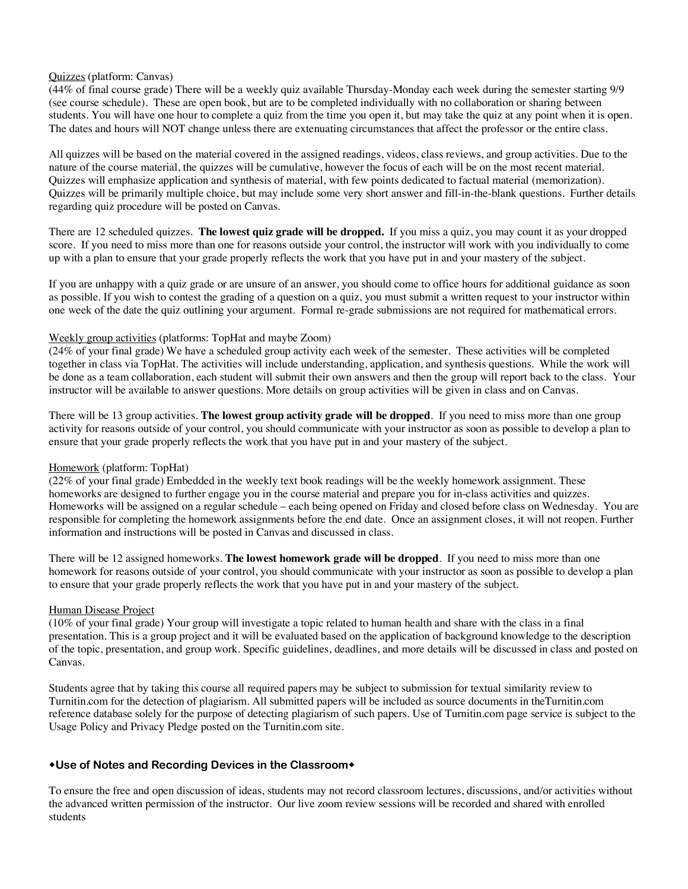#### Quizzes (platform: Canvas)

(44% of final course grade) There will be a weekly quiz available Thursday-Monday each week during the semester starting 9/9 (see course schedule). These are open book, but are to be completed individually with no collaboration or sharing between students. You will have one hour to complete a quiz from the time you open it, but may take the quiz at any point when it is open. The dates and hours will NOT change unless there are extenuating circumstances that affect the professor or the entire class.

All quizzes will be based on the material covered in the assigned readings, videos, class reviews, and group activities. Due to the nature of the course material, the quizzes will be cumulative, however the focus of each will be on the most recent material. Quizzes will emphasize application and synthesis of material, with few points dedicated to factual material (memorization). Quizzes will be primarily multiple choice, but may include some very short answer and fill-in-the-blank questions. Further details regarding quiz procedure will be posted on Canvas.

There are 12 scheduled quizzes. **The lowest quiz grade will be dropped.** If you miss a quiz, you may count it as your dropped score. If you need to miss more than one for reasons outside your control, the instructor will work with you individually to come up with a plan to ensure that your grade properly reflects the work that you have put in and your mastery of the subject.

If you are unhappy with a quiz grade or are unsure of an answer, you should come to office hours for additional guidance as soon as possible. If you wish to contest the grading of a question on a quiz, you must submit a written request to your instructor within one week of the date the quiz outlining your argument. Formal re-grade submissions are not required for mathematical errors.

#### Weekly group activities (platforms: TopHat and maybe Zoom)

(24% of your final grade) We have a scheduled group activity each week of the semester. These activities will be completed together in class via TopHat. The activities will include understanding, application, and synthesis questions. While the work will be done as a team collaboration, each student will submit their own answers and then the group will report back to the class. Your instructor will be available to answer questions. More details on group activities will be given in class and on Canvas.

There will be 13 group activities. **The lowest group activity grade will be dropped**. If you need to miss more than one group activity for reasons outside of your control, you should communicate with your instructor as soon as possible to develop a plan to ensure that your grade properly reflects the work that you have put in and your mastery of the subject.

#### Homework (platform: TopHat)

(22% of your final grade) Embedded in the weekly text book readings will be the weekly homework assignment. These homeworks are designed to further engage you in the course material and prepare you for in-class activities and quizzes. Homeworks will be assigned on a regular schedule – each being opened on Friday and closed before class on Wednesday. You are responsible for completing the homework assignments before the end date. Once an assignment closes, it will not reopen. Further information and instructions will be posted in Canvas and discussed in class.

There will be 12 assigned homeworks. **The lowest homework grade will be dropped**. If you need to miss more than one homework for reasons outside of your control, you should communicate with your instructor as soon as possible to develop a plan to ensure that your grade properly reflects the work that you have put in and your mastery of the subject.

#### Human Disease Project

(10% of your final grade) Your group will investigate a topic related to human health and share with the class in a final presentation. This is a group project and it will be evaluated based on the application of background knowledge to the description of the topic, presentation, and group work. Specific guidelines, deadlines, and more details will be discussed in class and posted on Canvas.

Students agree that by taking this course all required papers may be subject to submission for textual similarity review to Turnitin.com for the detection of plagiarism. All submitted papers will be included as source documents in theTurnitin.com reference database solely for the purpose of detecting plagiarism of such papers. Use of Turnitin.com page service is subject to the Usage Policy and Privacy Pledge posted on the Turnitin.com site.

#### \*Use of Notes and Recording Devices in the Classroom\*

To ensure the free and open discussion of ideas, students may not record classroom lectures, discussions, and/or activities without the advanced written permission of the instructor. Our live zoom review sessions will be recorded and shared with enrolled students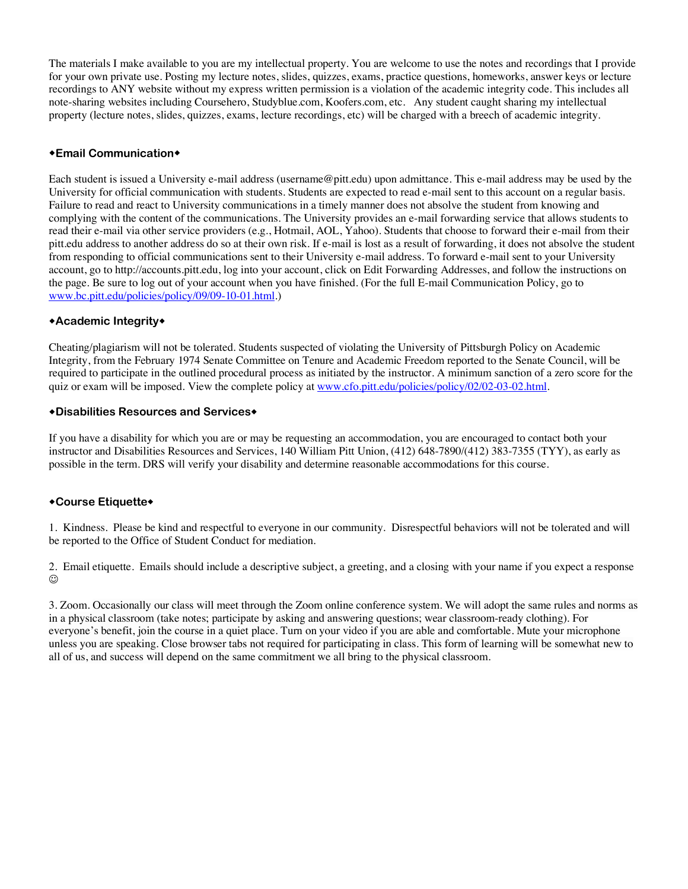The materials I make available to you are my intellectual property. You are welcome to use the notes and recordings that I provide for your own private use. Posting my lecture notes, slides, quizzes, exams, practice questions, homeworks, answer keys or lecture recordings to ANY website without my express written permission is a violation of the academic integrity code. This includes all note-sharing websites including Coursehero, Studyblue.com, Koofers.com, etc. Any student caught sharing my intellectual property (lecture notes, slides, quizzes, exams, lecture recordings, etc) will be charged with a breech of academic integrity.

### **\*Email Communication\***

Each student is issued a University e-mail address (username@pitt.edu) upon admittance. This e-mail address may be used by the University for official communication with students. Students are expected to read e-mail sent to this account on a regular basis. Failure to read and react to University communications in a timely manner does not absolve the student from knowing and complying with the content of the communications. The University provides an e-mail forwarding service that allows students to read their e-mail via other service providers (e.g., Hotmail, AOL, Yahoo). Students that choose to forward their e-mail from their pitt.edu address to another address do so at their own risk. If e-mail is lost as a result of forwarding, it does not absolve the student from responding to official communications sent to their University e-mail address. To forward e-mail sent to your University account, go to http://accounts.pitt.edu, log into your account, click on Edit Forwarding Addresses, and follow the instructions on the page. Be sure to log out of your account when you have finished. (For the full E-mail Communication Policy, go to www.bc.pitt.edu/policies/policy/09/09-10-01.html.)

#### \*Academic Integrity\*

Cheating/plagiarism will not be tolerated. Students suspected of violating the University of Pittsburgh Policy on Academic Integrity, from the February 1974 Senate Committee on Tenure and Academic Freedom reported to the Senate Council, will be required to participate in the outlined procedural process as initiated by the instructor. A minimum sanction of a zero score for the quiz or exam will be imposed. View the complete policy at www.cfo.pitt.edu/policies/policy/02/02-03-02.html.

#### **\*Disabilities Resources and Services\***

If you have a disability for which you are or may be requesting an accommodation, you are encouraged to contact both your instructor and Disabilities Resources and Services, 140 William Pitt Union, (412) 648-7890/(412) 383-7355 (TYY), as early as possible in the term. DRS will verify your disability and determine reasonable accommodations for this course.

#### \*Course Etiquette\*

1. Kindness. Please be kind and respectful to everyone in our community. Disrespectful behaviors will not be tolerated and will be reported to the Office of Student Conduct for mediation.

2. Email etiquette. Emails should include a descriptive subject, a greeting, and a closing with your name if you expect a response  $\odot$ 

3. Zoom. Occasionally our class will meet through the Zoom online conference system. We will adopt the same rules and norms as in a physical classroom (take notes; participate by asking and answering questions; wear classroom-ready clothing). For everyone's benefit, join the course in a quiet place. Turn on your video if you are able and comfortable. Mute your microphone unless you are speaking. Close browser tabs not required for participating in class. This form of learning will be somewhat new to all of us, and success will depend on the same commitment we all bring to the physical classroom.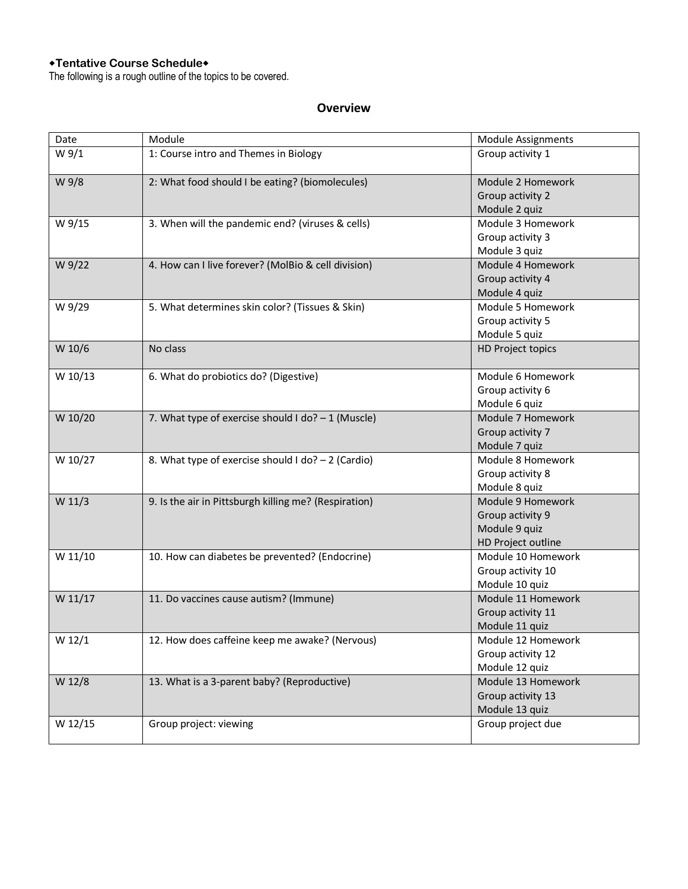#### **\*Tentative Course Schedule\***

The following is a rough outline of the topics to be covered.

## **Overview**

| Date    | Module                                                | <b>Module Assignments</b> |
|---------|-------------------------------------------------------|---------------------------|
| W 9/1   | 1: Course intro and Themes in Biology                 | Group activity 1          |
| W 9/8   | 2: What food should I be eating? (biomolecules)       | Module 2 Homework         |
|         |                                                       | Group activity 2          |
|         |                                                       | Module 2 quiz             |
| W 9/15  | 3. When will the pandemic end? (viruses & cells)      | Module 3 Homework         |
|         |                                                       | Group activity 3          |
|         |                                                       | Module 3 quiz             |
| W 9/22  | 4. How can I live forever? (MolBio & cell division)   | Module 4 Homework         |
|         |                                                       | Group activity 4          |
|         |                                                       | Module 4 quiz             |
| W 9/29  | 5. What determines skin color? (Tissues & Skin)       | Module 5 Homework         |
|         |                                                       | Group activity 5          |
|         |                                                       | Module 5 quiz             |
| W 10/6  | No class                                              | HD Project topics         |
| W 10/13 | 6. What do probiotics do? (Digestive)                 | Module 6 Homework         |
|         |                                                       | Group activity 6          |
|         |                                                       | Module 6 quiz             |
| W 10/20 | 7. What type of exercise should I do? $-1$ (Muscle)   | Module 7 Homework         |
|         |                                                       | Group activity 7          |
|         |                                                       | Module 7 quiz             |
| W 10/27 | 8. What type of exercise should I do? - 2 (Cardio)    | Module 8 Homework         |
|         |                                                       | Group activity 8          |
|         |                                                       | Module 8 quiz             |
| W 11/3  | 9. Is the air in Pittsburgh killing me? (Respiration) | Module 9 Homework         |
|         |                                                       | Group activity 9          |
|         |                                                       | Module 9 quiz             |
|         |                                                       | HD Project outline        |
| W 11/10 | 10. How can diabetes be prevented? (Endocrine)        | Module 10 Homework        |
|         |                                                       | Group activity 10         |
|         |                                                       | Module 10 quiz            |
| W 11/17 | 11. Do vaccines cause autism? (Immune)                | Module 11 Homework        |
|         |                                                       | Group activity 11         |
|         |                                                       | Module 11 quiz            |
| W 12/1  | 12. How does caffeine keep me awake? (Nervous)        | Module 12 Homework        |
|         |                                                       | Group activity 12         |
|         |                                                       | Module 12 quiz            |
| W 12/8  | 13. What is a 3-parent baby? (Reproductive)           | Module 13 Homework        |
|         |                                                       | Group activity 13         |
|         |                                                       | Module 13 quiz            |
| W 12/15 | Group project: viewing                                | Group project due         |
|         |                                                       |                           |